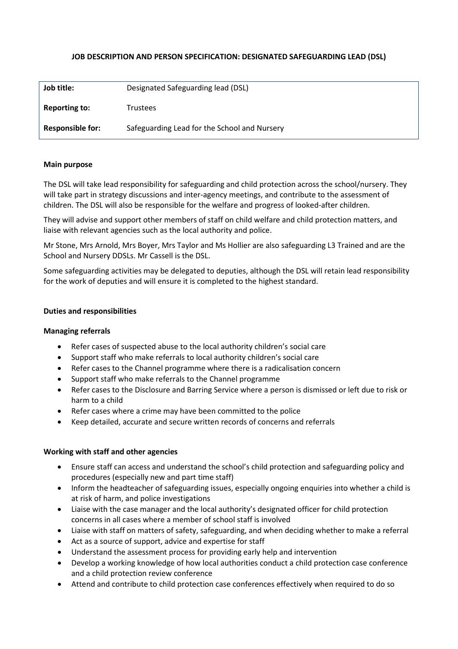## **JOB DESCRIPTION AND PERSON SPECIFICATION: DESIGNATED SAFEGUARDING LEAD (DSL)**

| Job title:              | Designated Safeguarding lead (DSL)           |
|-------------------------|----------------------------------------------|
| <b>Reporting to:</b>    | <b>Trustees</b>                              |
| <b>Responsible for:</b> | Safeguarding Lead for the School and Nursery |

### **Main purpose**

The DSL will take lead responsibility for safeguarding and child protection across the school/nursery. They will take part in strategy discussions and inter-agency meetings, and contribute to the assessment of children. The DSL will also be responsible for the welfare and progress of looked-after children.

They will advise and support other members of staff on child welfare and child protection matters, and liaise with relevant agencies such as the local authority and police.

Mr Stone, Mrs Arnold, Mrs Boyer, Mrs Taylor and Ms Hollier are also safeguarding L3 Trained and are the School and Nursery DDSLs. Mr Cassell is the DSL.

Some safeguarding activities may be delegated to deputies, although the DSL will retain lead responsibility for the work of deputies and will ensure it is completed to the highest standard.

### **Duties and responsibilities**

### **Managing referrals**

- Refer cases of suspected abuse to the local authority children's social care
- Support staff who make referrals to local authority children's social care
- Refer cases to the Channel programme where there is a radicalisation concern
- Support staff who make referrals to the Channel programme
- Refer cases to the Disclosure and Barring Service where a person is dismissed or left due to risk or harm to a child
- Refer cases where a crime may have been committed to the police
- Keep detailed, accurate and secure written records of concerns and referrals

### **Working with staff and other agencies**

- Ensure staff can access and understand the school's child protection and safeguarding policy and procedures (especially new and part time staff)
- Inform the headteacher of safeguarding issues, especially ongoing enquiries into whether a child is at risk of harm, and police investigations
- Liaise with the case manager and the local authority's designated officer for child protection concerns in all cases where a member of school staff is involved
- Liaise with staff on matters of safety, safeguarding, and when deciding whether to make a referral
- Act as a source of support, advice and expertise for staff
- Understand the assessment process for providing early help and intervention
- Develop a working knowledge of how local authorities conduct a child protection case conference and a child protection review conference
- Attend and contribute to child protection case conferences effectively when required to do so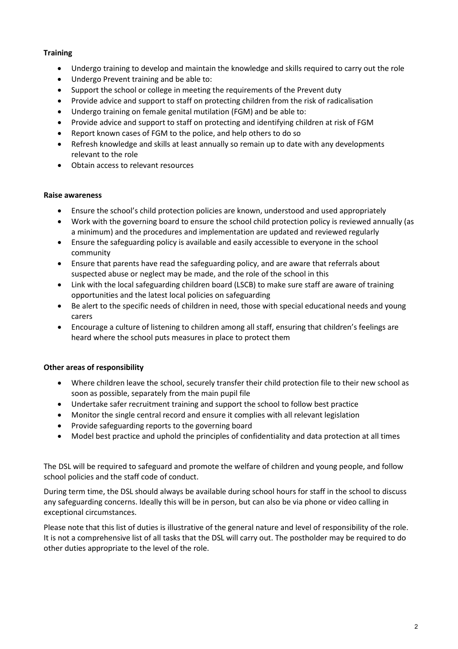## **Training**

- Undergo training to develop and maintain the knowledge and skills required to carry out the role
- Undergo Prevent training and be able to:
- Support the school or college in meeting the requirements of the Prevent duty
- Provide advice and support to staff on protecting children from the risk of radicalisation
- Undergo training on female genital mutilation (FGM) and be able to:
- Provide advice and support to staff on protecting and identifying children at risk of FGM
- Report known cases of FGM to the police, and help others to do so
- Refresh knowledge and skills at least annually so remain up to date with any developments relevant to the role
- Obtain access to relevant resources

## **Raise awareness**

- Ensure the school's child protection policies are known, understood and used appropriately
- Work with the governing board to ensure the school child protection policy is reviewed annually (as a minimum) and the procedures and implementation are updated and reviewed regularly
- Ensure the safeguarding policy is available and easily accessible to everyone in the school community
- Ensure that parents have read the safeguarding policy, and are aware that referrals about suspected abuse or neglect may be made, and the role of the school in this
- Link with the local safeguarding children board (LSCB) to make sure staff are aware of training opportunities and the latest local policies on safeguarding
- Be alert to the specific needs of children in need, those with special educational needs and young carers
- Encourage a culture of listening to children among all staff, ensuring that children's feelings are heard where the school puts measures in place to protect them

## **Other areas of responsibility**

- Where children leave the school, securely transfer their child protection file to their new school as soon as possible, separately from the main pupil file
- Undertake safer recruitment training and support the school to follow best practice
- Monitor the single central record and ensure it complies with all relevant legislation
- Provide safeguarding reports to the governing board
- Model best practice and uphold the principles of confidentiality and data protection at all times

The DSL will be required to safeguard and promote the welfare of children and young people, and follow school policies and the staff code of conduct.

During term time, the DSL should always be available during school hours for staff in the school to discuss any safeguarding concerns. Ideally this will be in person, but can also be via phone or video calling in exceptional circumstances.

Please note that this list of duties is illustrative of the general nature and level of responsibility of the role. It is not a comprehensive list of all tasks that the DSL will carry out. The postholder may be required to do other duties appropriate to the level of the role.